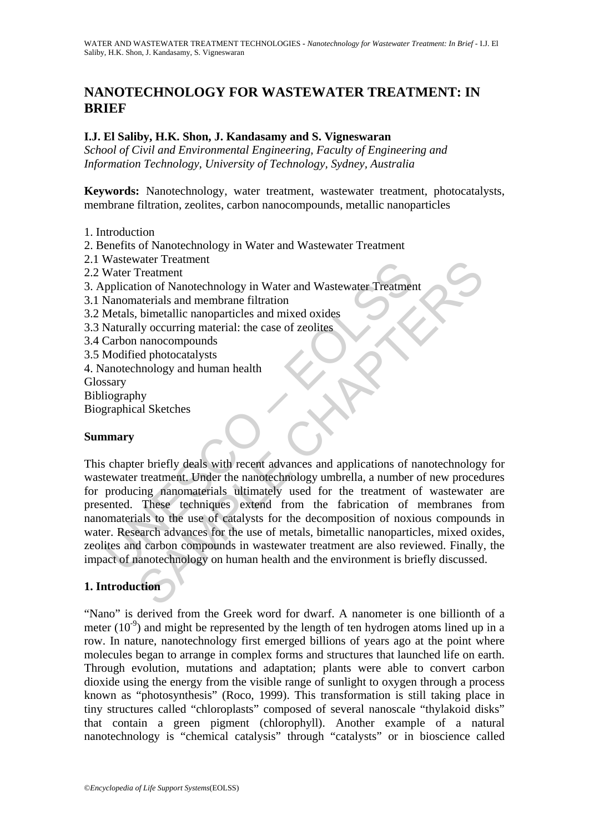# **NANOTECHNOLOGY FOR WASTEWATER TREATMENT: IN BRIEF**

#### **I.J. El Saliby, H.K. Shon, J. Kandasamy and S. Vigneswaran**

*School of Civil and Environmental Engineering, Faculty of Engineering and Information Technology, University of Technology, Sydney, Australia* 

**Keywords:** Nanotechnology, water treatment, wastewater treatment, photocatalysts, membrane filtration, zeolites, carbon nanocompounds, metallic nanoparticles

- 1. Introduction
- 2. Benefits of Nanotechnology in Water and Wastewater Treatment
- 2.1 Wastewater Treatment
- 2.2 Water Treatment
- 3. Application of Nanotechnology in Water and Wastewater Treatment
- 3.1 Nanomaterials and membrane filtration
- 3.2 Metals, bimetallic nanoparticles and mixed oxides
- 3.3 Naturally occurring material: the case of zeolites
- 3.4 Carbon nanocompounds
- 3.5 Modified photocatalysts
- 4. Nanotechnology and human health
- Glossary
- Bibliography
- Biographical Sketches

#### **Summary**

Water Treatment<br>
Water Treatment<br>
pplication of Nanotechnology in Water and Wastewater Treatmer<br>
pplication of Nanotechnology in Water and Wastewater Treatment<br>
Metals, bimetallic nanoparticles and mixed oxides<br>
Naturally Water I reaument<br>
Treatment<br>
Treatment<br>
ion of Nanotechnology in Water and Wastewater Treatment<br>
ion of Nanotechnology in Water and mixed oxides<br>
by occurring material: the case of zeolities<br>
Ily occurring material: the ca This chapter briefly deals with recent advances and applications of nanotechnology for wastewater treatment. Under the nanotechnology umbrella, a number of new procedures for producing nanomaterials ultimately used for the treatment of wastewater are presented. These techniques extend from the fabrication of membranes from nanomaterials to the use of catalysts for the decomposition of noxious compounds in water. Research advances for the use of metals, bimetallic nanoparticles, mixed oxides, zeolites and carbon compounds in wastewater treatment are also reviewed. Finally, the impact of nanotechnology on human health and the environment is briefly discussed.

# **1. Introduction**

"Nano" is derived from the Greek word for dwarf. A nanometer is one billionth of a meter  $(10^{-9})$  and might be represented by the length of ten hydrogen atoms lined up in a row. In nature, nanotechnology first emerged billions of years ago at the point where molecules began to arrange in complex forms and structures that launched life on earth. Through evolution, mutations and adaptation; plants were able to convert carbon dioxide using the energy from the visible range of sunlight to oxygen through a process known as "photosynthesis" (Roco, 1999). This transformation is still taking place in tiny structures called "chloroplasts" composed of several nanoscale "thylakoid disks" that contain a green pigment (chlorophyll). Another example of a natural nanotechnology is "chemical catalysis" through "catalysts" or in bioscience called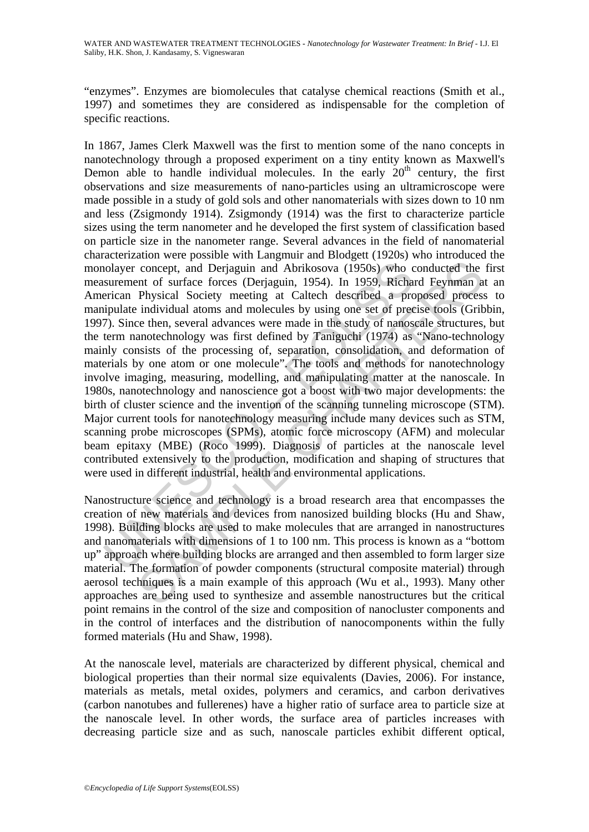"enzymes". Enzymes are biomolecules that catalyse chemical reactions (Smith et al., 1997) and sometimes they are considered as indispensable for the completion of specific reactions.

nolayer concept, and Derjaguin and Abrikosova (1950s) who concept surement of surface forces (Derjaguin, 1954). In 1959, Richarican Physical Society meeting at Caltech described a propulate individual atoms and molecules b concept, and Derjaguin and Abrikosova (1950s) who conducted the<br>nt of surface forces (Derjaguin, 1954). In 1959, Richard Feynman a<br>Physical Society metetige at Caltech described a proposed precesse<br>in individual atoms and In 1867, James Clerk Maxwell was the first to mention some of the nano concepts in nanotechnology through a proposed experiment on a tiny entity known as Maxwell's Demon able to handle individual molecules. In the early  $20<sup>th</sup>$  century, the first observations and size measurements of nano-particles using an ultramicroscope were made possible in a study of gold sols and other nanomaterials with sizes down to 10 nm and less (Zsigmondy 1914). Zsigmondy (1914) was the first to characterize particle sizes using the term nanometer and he developed the first system of classification based on particle size in the nanometer range. Several advances in the field of nanomaterial characterization were possible with Langmuir and Blodgett (1920s) who introduced the monolayer concept, and Derjaguin and Abrikosova (1950s) who conducted the first measurement of surface forces (Derjaguin, 1954). In 1959, Richard Feynman at an American Physical Society meeting at Caltech described a proposed process to manipulate individual atoms and molecules by using one set of precise tools (Gribbin, 1997). Since then, several advances were made in the study of nanoscale structures, but the term nanotechnology was first defined by Taniguchi (1974) as "Nano-technology mainly consists of the processing of, separation, consolidation, and deformation of materials by one atom or one molecule". The tools and methods for nanotechnology involve imaging, measuring, modelling, and manipulating matter at the nanoscale. In 1980s, nanotechnology and nanoscience got a boost with two major developments: the birth of cluster science and the invention of the scanning tunneling microscope (STM). Major current tools for nanotechnology measuring include many devices such as STM, scanning probe microscopes (SPMs), atomic force microscopy (AFM) and molecular beam epitaxy (MBE) (Roco 1999). Diagnosis of particles at the nanoscale level contributed extensively to the production, modification and shaping of structures that were used in different industrial, health and environmental applications.

Nanostructure science and technology is a broad research area that encompasses the creation of new materials and devices from nanosized building blocks (Hu and Shaw, 1998). Building blocks are used to make molecules that are arranged in nanostructures and nanomaterials with dimensions of 1 to 100 nm. This process is known as a "bottom up" approach where building blocks are arranged and then assembled to form larger size material. The formation of powder components (structural composite material) through aerosol techniques is a main example of this approach (Wu et al., 1993). Many other approaches are being used to synthesize and assemble nanostructures but the critical point remains in the control of the size and composition of nanocluster components and in the control of interfaces and the distribution of nanocomponents within the fully formed materials (Hu and Shaw, 1998).

At the nanoscale level, materials are characterized by different physical, chemical and biological properties than their normal size equivalents (Davies, 2006). For instance, materials as metals, metal oxides, polymers and ceramics, and carbon derivatives (carbon nanotubes and fullerenes) have a higher ratio of surface area to particle size at the nanoscale level. In other words, the surface area of particles increases with decreasing particle size and as such, nanoscale particles exhibit different optical,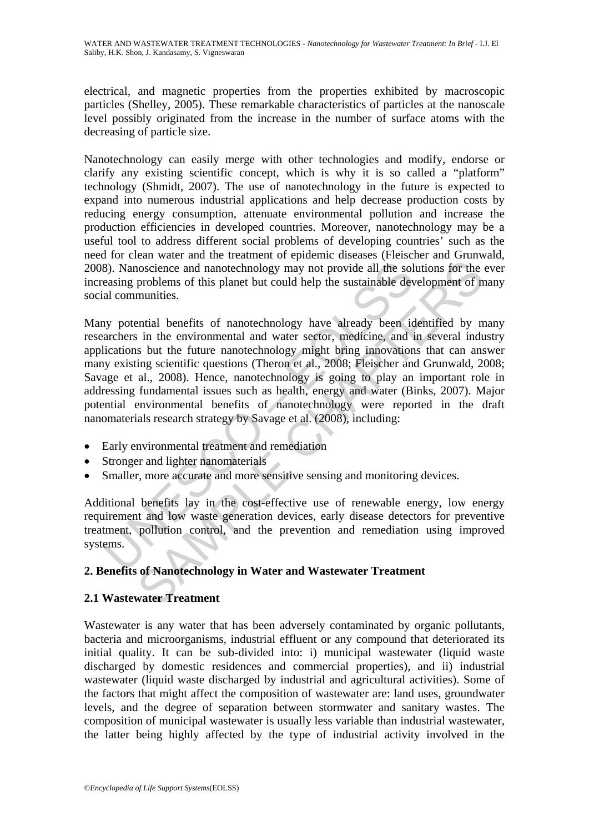electrical, and magnetic properties from the properties exhibited by macroscopic particles (Shelley, 2005). These remarkable characteristics of particles at the nanoscale level possibly originated from the increase in the number of surface atoms with the decreasing of particle size.

Nanotechnology can easily merge with other technologies and modify, endorse or clarify any existing scientific concept, which is why it is so called a "platform" technology (Shmidt, 2007). The use of nanotechnology in the future is expected to expand into numerous industrial applications and help decrease production costs by reducing energy consumption, attenuate environmental pollution and increase the production efficiencies in developed countries. Moreover, nanotechnology may be a useful tool to address different social problems of developing countries' such as the need for clean water and the treatment of epidemic diseases (Fleischer and Grunwald, 2008). Nanoscience and nanotechnology may not provide all the solutions for the ever increasing problems of this planet but could help the sustainable development of many social communities.

8). Nanoscience and nanotechnology may not provide all the solence and nanotechnology may not provide all the solence and a communities.<br>
all communities.<br>
all communities.<br>
all communities.<br>
all communities.<br>
all communit inoscience and nanotechnology may not provide all the solutions for the problems of this planet but could help the sustainable development of n<br>munities.<br>Initial benefits of nanotechnology have already been identified by m Many potential benefits of nanotechnology have already been identified by many researchers in the environmental and water sector, medicine, and in several industry applications but the future nanotechnology might bring innovations that can answer many existing scientific questions (Theron et al., 2008; Fleischer and Grunwald, 2008; Savage et al., 2008). Hence, nanotechnology is going to play an important role in addressing fundamental issues such as health, energy and water (Binks, 2007). Major potential environmental benefits of nanotechnology were reported in the draft nanomaterials research strategy by Savage et al. (2008), including:

- Early environmental treatment and remediation
- Stronger and lighter nanomaterials
- Smaller, more accurate and more sensitive sensing and monitoring devices.

Additional benefits lay in the cost-effective use of renewable energy, low energy requirement and low waste generation devices, early disease detectors for preventive treatment, pollution control, and the prevention and remediation using improved systems.

# **2. Benefits of Nanotechnology in Water and Wastewater Treatment**

# **2.1 Wastewater Treatment**

Wastewater is any water that has been adversely contaminated by organic pollutants, bacteria and microorganisms, industrial effluent or any compound that deteriorated its initial quality. It can be sub-divided into: i) municipal wastewater (liquid waste discharged by domestic residences and commercial properties), and ii) industrial wastewater (liquid waste discharged by industrial and agricultural activities). Some of the factors that might affect the composition of wastewater are: land uses, groundwater levels, and the degree of separation between stormwater and sanitary wastes. The composition of municipal wastewater is usually less variable than industrial wastewater, the latter being highly affected by the type of industrial activity involved in the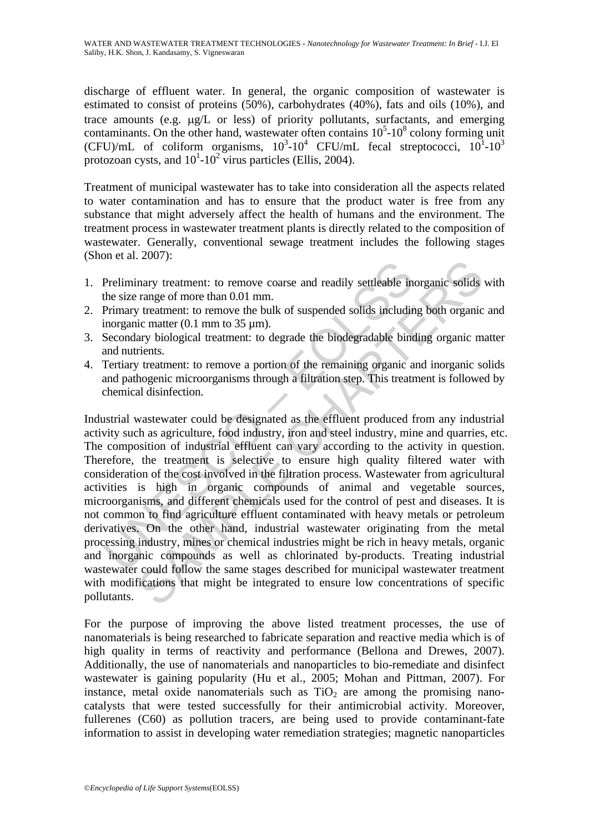discharge of effluent water. In general, the organic composition of wastewater is estimated to consist of proteins (50%), carbohydrates (40%), fats and oils (10%), and trace amounts (e.g. μg/L or less) of priority pollutants, surfactants, and emerging contaminants. On the other hand, wastewater often contains  $10<sup>5</sup>$ -10<sup>8</sup> colony forming unit (CFU)/mL of coliform organisms,  $10^3$ -10<sup>4</sup> CFU/mL fecal streptococci,  $10^1$ -10<sup>3</sup> protozoan cysts, and  $10^1$ - $10^2$  virus particles (Ellis, 2004).

Treatment of municipal wastewater has to take into consideration all the aspects related to water contamination and has to ensure that the product water is free from any substance that might adversely affect the health of humans and the environment. The treatment process in wastewater treatment plants is directly related to the composition of wastewater. Generally, conventional sewage treatment includes the following stages (Shon et al. 2007):

- 1. Preliminary treatment: to remove coarse and readily settleable inorganic solids with the size range of more than 0.01 mm.
- 2. Primary treatment: to remove the bulk of suspended solids including both organic and inorganic matter  $(0.1 \text{ mm to } 35 \text{ µm})$ .
- 3. Secondary biological treatment: to degrade the biodegradable binding organic matter and nutrients.
- 4. Tertiary treatment: to remove a portion of the remaining organic and inorganic solids and pathogenic microorganisms through a filtration step. This treatment is followed by chemical disinfection.

Preliminary treatment: to remove coarse and readily settleable in<br>the size range of more than 0.01 mm.<br>Trimary treatment: to remove the bulk of suspended solids includin<br>increating matter (0.1 mm to 35 µm).<br>Secondary biolo Example the range of more coarse and readily settleable inorganic solids<br>range of more than 0.01 nm.<br>transport the move the bulk of suspended solids including both organic<br>ic matter (0.1 mm to 35 µm).<br>any biological treat Industrial wastewater could be designated as the effluent produced from any industrial activity such as agriculture, food industry, iron and steel industry, mine and quarries, etc. The composition of industrial effluent can vary according to the activity in question. Therefore, the treatment is selective to ensure high quality filtered water with consideration of the cost involved in the filtration process. Wastewater from agricultural activities is high in organic compounds of animal and vegetable sources, microorganisms, and different chemicals used for the control of pest and diseases. It is not common to find agriculture effluent contaminated with heavy metals or petroleum derivatives. On the other hand, industrial wastewater originating from the metal processing industry, mines or chemical industries might be rich in heavy metals, organic and inorganic compounds as well as chlorinated by-products. Treating industrial wastewater could follow the same stages described for municipal wastewater treatment with modifications that might be integrated to ensure low concentrations of specific pollutants.

For the purpose of improving the above listed treatment processes, the use of nanomaterials is being researched to fabricate separation and reactive media which is of high quality in terms of reactivity and performance (Bellona and Drewes, 2007). Additionally, the use of nanomaterials and nanoparticles to bio-remediate and disinfect wastewater is gaining popularity (Hu et al., 2005; Mohan and Pittman, 2007). For instance, metal oxide nanomaterials such as  $TiO<sub>2</sub>$  are among the promising nanocatalysts that were tested successfully for their antimicrobial activity. Moreover, fullerenes (C60) as pollution tracers, are being used to provide contaminant-fate information to assist in developing water remediation strategies; magnetic nanoparticles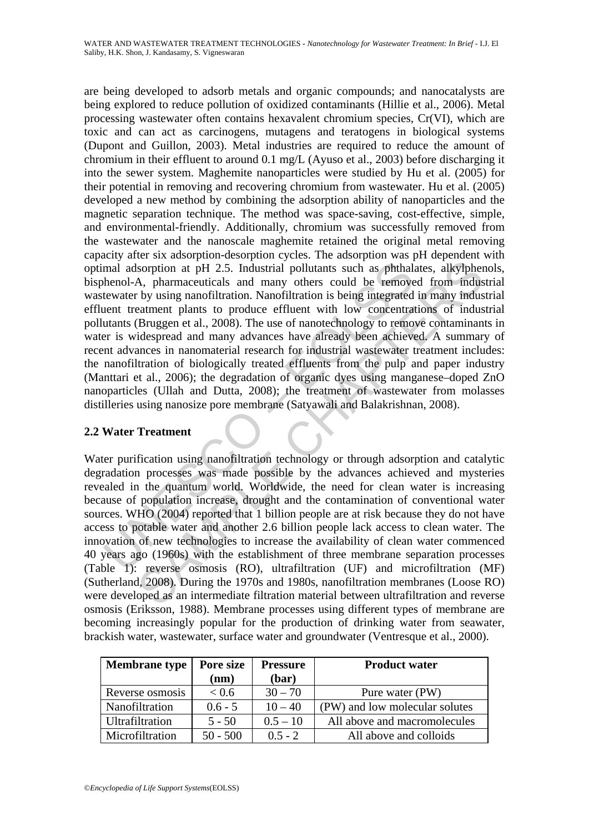mal adsorption at pH 2.5. Industrial pollutants such as phthal<br>henol-A, pharmaceuticals and many others could be remove<br>tewater by using nanofiltration. Nanofiltration is being integrated<br>ent treatment plants to produce ef are being developed to adsorb metals and organic compounds; and nanocatalysts are being explored to reduce pollution of oxidized contaminants (Hillie et al., 2006). Metal processing wastewater often contains hexavalent chromium species, Cr(VI), which are toxic and can act as carcinogens, mutagens and teratogens in biological systems (Dupont and Guillon, 2003). Metal industries are required to reduce the amount of chromium in their effluent to around 0.1 mg/L (Ayuso et al., 2003) before discharging it into the sewer system. Maghemite nanoparticles were studied by Hu et al. (2005) for their potential in removing and recovering chromium from wastewater. Hu et al. (2005) developed a new method by combining the adsorption ability of nanoparticles and the magnetic separation technique. The method was space-saving, cost-effective, simple, and environmental-friendly. Additionally, chromium was successfully removed from the wastewater and the nanoscale maghemite retained the original metal removing capacity after six adsorption-desorption cycles. The adsorption was pH dependent with optimal adsorption at pH 2.5. Industrial pollutants such as phthalates, alkylphenols, bisphenol-A, pharmaceuticals and many others could be removed from industrial wastewater by using nanofiltration. Nanofiltration is being integrated in many industrial effluent treatment plants to produce effluent with low concentrations of industrial pollutants (Bruggen et al., 2008). The use of nanotechnology to remove contaminants in water is widespread and many advances have already been achieved. A summary of recent advances in nanomaterial research for industrial wastewater treatment includes: the nanofiltration of biologically treated effluents from the pulp and paper industry (Manttari et al., 2006); the degradation of organic dyes using manganese–doped ZnO nanoparticles (Ullah and Dutta, 2008); the treatment of wastewater from molasses distilleries using nanosize pore membrane (Satyawali and Balakrishnan, 2008).

# **2.2 Water Treatment**

Sorption at pH 2.5. Industrial pollutants such as phthalates, alkylphen<br>Sorption at pH 2.5. Industrial pollutants such as phthalates, alkylphen<br>A, pharmaceuticals and many others could be removed from indus<br>by using nanofi Water purification using nanofiltration technology or through adsorption and catalytic degradation processes was made possible by the advances achieved and mysteries revealed in the quantum world. Worldwide, the need for clean water is increasing because of population increase, drought and the contamination of conventional water sources. WHO (2004) reported that 1 billion people are at risk because they do not have access to potable water and another 2.6 billion people lack access to clean water. The innovation of new technologies to increase the availability of clean water commenced 40 years ago (1960s) with the establishment of three membrane separation processes (Table 1): reverse osmosis (RO), ultrafiltration (UF) and microfiltration (MF) (Sutherland, 2008). During the 1970s and 1980s, nanofiltration membranes (Loose RO) were developed as an intermediate filtration material between ultrafiltration and reverse osmosis (Eriksson, 1988). Membrane processes using different types of membrane are becoming increasingly popular for the production of drinking water from seawater, brackish water, wastewater, surface water and groundwater (Ventresque et al., 2000).

| <b>Membrane</b> type | Pore size<br>(nm) | <b>Pressure</b><br>(bar) | <b>Product water</b>           |
|----------------------|-------------------|--------------------------|--------------------------------|
| Reverse osmosis      | < 0.6             | $30 - 70$                | Pure water (PW)                |
| Nanofiltration       | $0.6 - 5$         | $10 - 40$                | (PW) and low molecular solutes |
| Ultrafiltration      | $5 - 50$          | $0.5 - 10$               | All above and macromolecules   |
| Microfiltration      | $50 - 500$        | $0.5 - 2$                | All above and colloids         |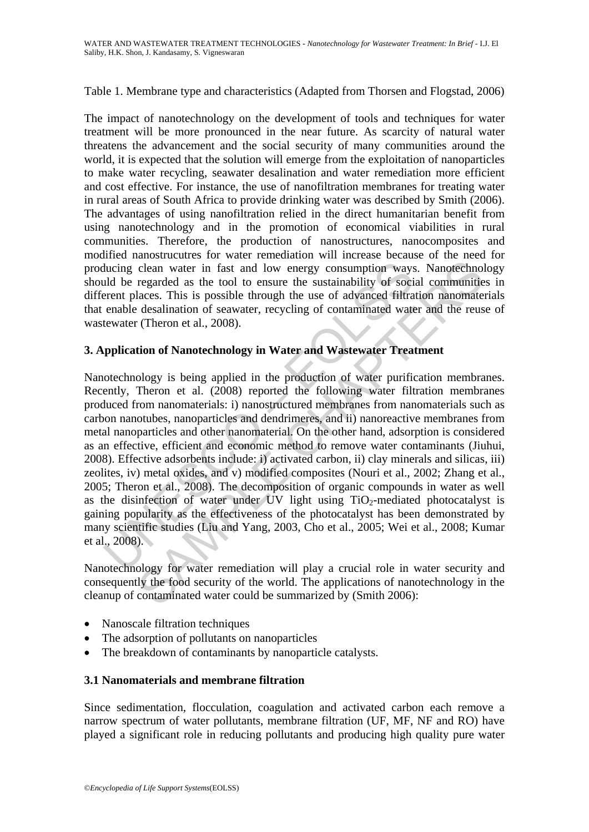#### Table 1. Membrane type and characteristics (Adapted from Thorsen and Flogstad, 2006)

The impact of nanotechnology on the development of tools and techniques for water treatment will be more pronounced in the near future. As scarcity of natural water threatens the advancement and the social security of many communities around the world, it is expected that the solution will emerge from the exploitation of nanoparticles to make water recycling, seawater desalination and water remediation more efficient and cost effective. For instance, the use of nanofiltration membranes for treating water in rural areas of South Africa to provide drinking water was described by Smith (2006). The advantages of using nanofiltration relied in the direct humanitarian benefit from using nanotechnology and in the promotion of economical viabilities in rural communities. Therefore, the production of nanostructures, nanocomposites and modified nanostrucutres for water remediation will increase because of the need for producing clean water in fast and low energy consumption ways. Nanotechnology should be regarded as the tool to ensure the sustainability of social communities in different places. This is possible through the use of advanced filtration nanomaterials that enable desalination of seawater, recycling of contaminated water and the reuse of wastewater (Theron et al., 2008).

# **3. Application of Nanotechnology in Water and Wastewater Treatment**

ducing clean water in fast and low energy consumption ways<br>
uld be regarded as the tool to ensure the sustainability of soci<br>
erent places. This is possible through the use of advanced filtra<br>
enable desalination of seawat clean water in fast and low energy consumption ways. Nanotechnol<br>regarded as the tool to ensure the sustainability of social communitie<br>laces. This is possible through the use of advanced filtration nanomate<br>daces. This i Nanotechnology is being applied in the production of water purification membranes. Recently, Theron et al. (2008) reported the following water filtration membranes produced from nanomaterials: i) nanostructured membranes from nanomaterials such as carbon nanotubes, nanoparticles and dendrimeres, and ii) nanoreactive membranes from metal nanoparticles and other nanomaterial. On the other hand, adsorption is considered as an effective, efficient and economic method to remove water contaminants (Jiuhui, 2008). Effective adsorbents include: i) activated carbon, ii) clay minerals and silicas, iii) zeolites, iv) metal oxides, and v) modified composites (Nouri et al., 2002; Zhang et al., 2005; Theron et al., 2008). The decomposition of organic compounds in water as well as the disinfection of water under UV light using  $TiO<sub>2</sub>$ -mediated photocatalyst is gaining popularity as the effectiveness of the photocatalyst has been demonstrated by many scientific studies (Liu and Yang, 2003, Cho et al., 2005; Wei et al., 2008; Kumar et al., 2008).

Nanotechnology for water remediation will play a crucial role in water security and consequently the food security of the world. The applications of nanotechnology in the cleanup of contaminated water could be summarized by (Smith 2006):

- Nanoscale filtration techniques
- The adsorption of pollutants on nanoparticles
- The breakdown of contaminants by nanoparticle catalysts.

#### **3.1 Nanomaterials and membrane filtration**

Since sedimentation, flocculation, coagulation and activated carbon each remove a narrow spectrum of water pollutants, membrane filtration (UF, MF, NF and RO) have played a significant role in reducing pollutants and producing high quality pure water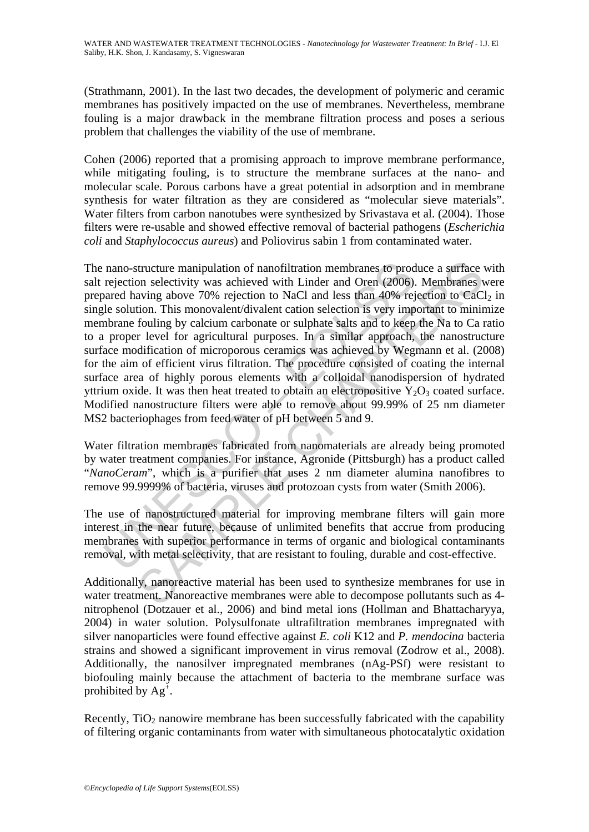(Strathmann, 2001). In the last two decades, the development of polymeric and ceramic membranes has positively impacted on the use of membranes. Nevertheless, membrane fouling is a major drawback in the membrane filtration process and poses a serious problem that challenges the viability of the use of membrane.

Cohen (2006) reported that a promising approach to improve membrane performance, while mitigating fouling, is to structure the membrane surfaces at the nano- and molecular scale. Porous carbons have a great potential in adsorption and in membrane synthesis for water filtration as they are considered as "molecular sieve materials". Water filters from carbon nanotubes were synthesized by Srivastava et al. (2004). Those filters were re-usable and showed effective removal of bacterial pathogens (*Escherichia coli* and *Staphylococcus aureus*) and Poliovirus sabin 1 from contaminated water.

nano-structure manipulation of nanofiltration membranes to procejection selectivity was achieved with Linder and Oren (2006) aared having above 70% rejection to NaCl and less than 40% rejection. This monovalent/divalent c structure manipulation of nanofiltration membranes to produce a surface<br>on selectivity was achieved with Linder and Oren (2006). Membranes vavig above 70% rejection to NaCl and less than 40% rejection to This monovalent/d The nano-structure manipulation of nanofiltration membranes to produce a surface with salt rejection selectivity was achieved with Linder and Oren (2006). Membranes were prepared having above 70% rejection to NaCl and less than 40% rejection to  $CaCl<sub>2</sub>$  in single solution. This monovalent/divalent cation selection is very important to minimize membrane fouling by calcium carbonate or sulphate salts and to keep the Na to Ca ratio to a proper level for agricultural purposes. In a similar approach, the nanostructure surface modification of microporous ceramics was achieved by Wegmann et al. (2008) for the aim of efficient virus filtration. The procedure consisted of coating the internal surface area of highly porous elements with a colloidal nanodispersion of hydrated yttrium oxide. It was then heat treated to obtain an electropositive  $Y_2O_3$  coated surface. Modified nanostructure filters were able to remove about 99.99% of 25 nm diameter MS2 bacteriophages from feed water of pH between 5 and 9.

Water filtration membranes fabricated from nanomaterials are already being promoted by water treatment companies. For instance, Agronide (Pittsburgh) has a product called "*NanoCeram*", which is a purifier that uses 2 nm diameter alumina nanofibres to remove 99.9999% of bacteria, viruses and protozoan cysts from water (Smith 2006).

The use of nanostructured material for improving membrane filters will gain more interest in the near future, because of unlimited benefits that accrue from producing membranes with superior performance in terms of organic and biological contaminants removal, with metal selectivity, that are resistant to fouling, durable and cost-effective.

Additionally, nanoreactive material has been used to synthesize membranes for use in water treatment. Nanoreactive membranes were able to decompose pollutants such as 4 nitrophenol (Dotzauer et al., 2006) and bind metal ions (Hollman and Bhattacharyya, 2004) in water solution. Polysulfonate ultrafiltration membranes impregnated with silver nanoparticles were found effective against *E. coli* K12 and *P. mendocina* bacteria strains and showed a significant improvement in virus removal (Zodrow et al., 2008). Additionally, the nanosilver impregnated membranes (nAg-PSf) were resistant to biofouling mainly because the attachment of bacteria to the membrane surface was prohibited by  $Ag^{\dagger}$ .

Recently,  $TiO<sub>2</sub>$  nanowire membrane has been successfully fabricated with the capability of filtering organic contaminants from water with simultaneous photocatalytic oxidation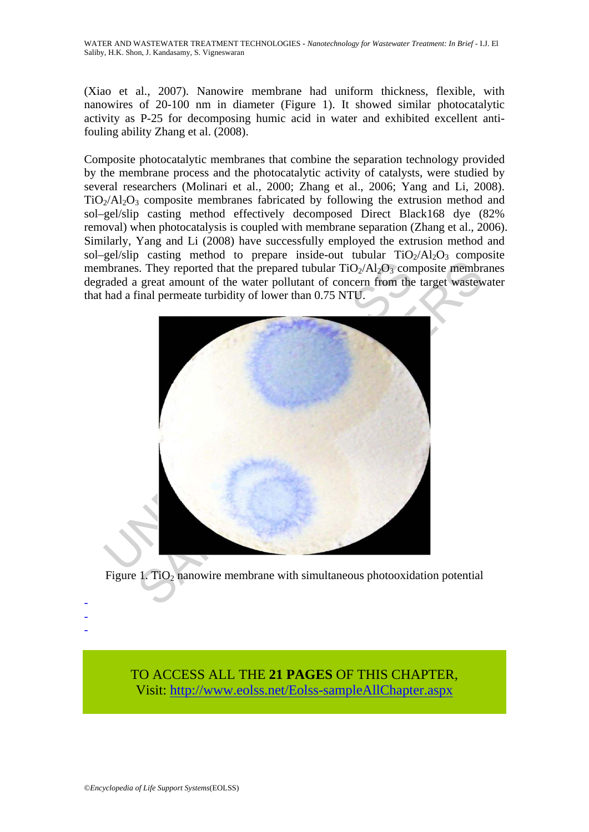(Xiao et al., 2007). Nanowire membrane had uniform thickness, flexible, with nanowires of 20-100 nm in diameter (Figure 1). It showed similar photocatalytic activity as P-25 for decomposing humic acid in water and exhibited excellent antifouling ability Zhang et al. (2008).

Composite photocatalytic membranes that combine the separation technology provided by the membrane process and the photocatalytic activity of catalysts, were studied by several researchers (Molinari et al., 2000; Zhang et al., 2006; Yang and Li, 2008).  $TiO<sub>2</sub>/Al<sub>2</sub>O<sub>3</sub>$  composite membranes fabricated by following the extrusion method and sol–gel/slip casting method effectively decomposed Direct Black168 dye (82% removal) when photocatalysis is coupled with membrane separation (Zhang et al., 2006). Similarly, Yang and Li (2008) have successfully employed the extrusion method and sol–gel/slip casting method to prepare inside-out tubular  $TiO<sub>2</sub>/Al<sub>2</sub>O<sub>3</sub>$  composite membranes. They reported that the prepared tubular  $TiO<sub>2</sub>/Al<sub>2</sub>O<sub>3</sub>$  composite membranes degraded a great amount of the water pollutant of concern from the target wastewater that had a final permeate turbidity of lower than 0.75 NTU.



Figure 1. TiO<sub>2</sub> nanowire membrane with simultaneous photooxidation potential

TO ACCESS ALL THE **21 PAGES** OF THIS CHAPTER, Visit: [http://www.eolss.net/Eolss-sampleAllChapter.aspx](https://www.eolss.net/ebooklib/sc_cart.aspx?File=E6-144-23)

- - -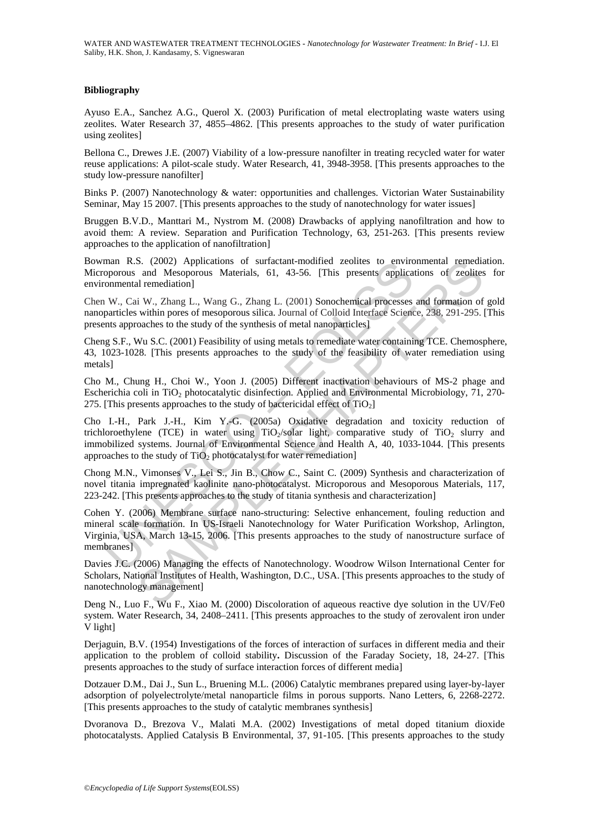#### **Bibliography**

Ayuso E.A., Sanchez A.G., Querol X. (2003) Purification of metal electroplating waste waters using zeolites. Water Research 37, 4855–4862. [This presents approaches to the study of water purification using zeolites]

Bellona C., Drewes J.E. (2007) Viability of a low-pressure nanofilter in treating recycled water for water reuse applications: A pilot-scale study. Water Research, 41, 3948-3958. [This presents approaches to the study low-pressure nanofilter]

Binks P. (2007) Nanotechnology & water: opportunities and challenges. Victorian Water Sustainability Seminar, May 15 2007. [This presents approaches to the study of nanotechnology for water issues]

Bruggen B.V.D., Manttari M., Nystrom M. (2008) Drawbacks of applying nanofiltration and how to avoid them: A review. Separation and Purification Technology, 63, 251-263. [This presents review approaches to the application of nanofiltration]

Bowman R.S. (2002) Applications of surfactant-modified zeolites to environmental remediation. Microporous and Mesoporous Materials, 61, 43-56. [This presents applications of zeolites for environmental remediation]

Chen W., Cai W., Zhang L., Wang G., Zhang L. (2001) Sonochemical processes and formation of gold nanoparticles within pores of mesoporous silica. Journal of Colloid Interface Science, 238, 291-295. [This presents approaches to the study of the synthesis of metal nanoparticles]

Cheng S.F., Wu S.C. (2001) Feasibility of using metals to remediate water containing TCE. Chemosphere, 43, 1023-1028. [This presents approaches to the study of the feasibility of water remediation using metals]

Cho M., Chung H., Choi W., Yoon J. (2005) Different inactivation behaviours of MS-2 phage and Escherichia coli in TiO<sub>2</sub> photocatalytic disinfection. Applied and Environmental Microbiology, 71, 270-275. [This presents approaches to the study of bactericidal effect of  $TiO<sub>2</sub>$ ]

man R.S. (2002) Applications of surfactant-modified zeolites to environmental remodiation)<br>conprovision and Mesoporous Materials, 61, 43-56. [This presents applicationmental remediation]<br>W., Cai W., Zhang L., Wang G., Zhan S. (2002) Applications of surfactant-modified zeolites to environmental remediate<br>and Mesoporous Materials, 61, 43-56. [This presents applications of zeolites<br>al remediation]<br>in W., Zhang L., Wang G., Zhang L. (2001) Sonoc Cho I.-H., Park J.-H., Kim Y.-G. (2005a) Oxidative degradation and toxicity reduction of trichloroethylene (TCE) in water using  $TiO<sub>2</sub>/solar$  light, comparative study of  $TiO<sub>2</sub>$  slurry and immobilized systems. Journal of Environmental Science and Health A, 40, 1033-1044. [This presents approaches to the study of  $TiO<sub>2</sub>$  photocatalyst for water remediation]

Chong M.N., Vimonses V., Lei S., Jin B., Chow C., Saint C. (2009) Synthesis and characterization of novel titania impregnated kaolinite nano-photocatalyst. Microporous and Mesoporous Materials, 117, 223-242. [This presents approaches to the study of titania synthesis and characterization]

Cohen Y. (2006) Membrane surface nano-structuring: Selective enhancement, fouling reduction and mineral scale formation. In US-Israeli Nanotechnology for Water Purification Workshop, Arlington, Virginia, USA, March 13-15, 2006. [This presents approaches to the study of nanostructure surface of membranes]

Davies J.C. (2006) Managing the effects of Nanotechnology. Woodrow Wilson International Center for Scholars, National Institutes of Health, Washington, D.C., USA. [This presents approaches to the study of nanotechnology management]

Deng N., Luo F., Wu F., Xiao M. (2000) Discoloration of aqueous reactive dye solution in the UV/Fe0 system. Water Research, 34, 2408–2411. [This presents approaches to the study of zerovalent iron under V light]

Derjaguin, B.V. (1954) Investigations of the forces of interaction of surfaces in different media and their application to the problem of colloid stability**.** Discussion of the Faraday Society, 18, 24-27. [This presents approaches to the study of surface interaction forces of different media]

Dotzauer D.M., Dai J., Sun L., Bruening M.L. (2006) Catalytic membranes prepared using layer-by-layer adsorption of polyelectrolyte/metal nanoparticle films in porous supports. Nano Letters, 6, 2268-2272. [This presents approaches to the study of catalytic membranes synthesis]

Dvoranova D., Brezova V., Malati M.A. (2002) Investigations of metal doped titanium dioxide photocatalysts. Applied Catalysis B Environmental, 37, 91-105. [This presents approaches to the study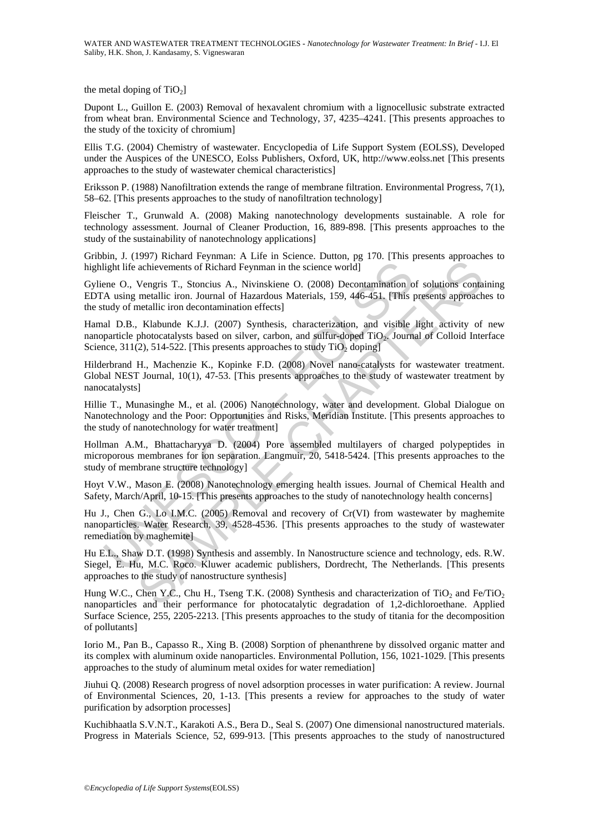the metal doping of  $TiO<sub>2</sub>$ ]

Dupont L., Guillon E. (2003) Removal of hexavalent chromium with a lignocellusic substrate extracted from wheat bran. Environmental Science and Technology, 37, 4235–4241. [This presents approaches to the study of the toxicity of chromium]

Ellis T.G. (2004) Chemistry of wastewater. Encyclopedia of Life Support System (EOLSS), Developed under the Auspices of the UNESCO, Eolss Publishers, Oxford, UK, http://www.eolss.net [This presents approaches to the study of wastewater chemical characteristics]

Eriksson P. (1988) Nanofiltration extends the range of membrane filtration. Environmental Progress, 7(1), 58–62. [This presents approaches to the study of nanofiltration technology]

Fleischer T., Grunwald A. (2008) Making nanotechnology developments sustainable. A role for technology assessment. Journal of Cleaner Production, 16, 889-898. [This presents approaches to the study of the sustainability of nanotechnology applications]

Gribbin, J. (1997) Richard Feynman: A Life in Science. Dutton, pg 170. [This presents approaches to highlight life achievements of Richard Feynman in the science world

Gyliene O., Vengris T., Stoncius A., Nivinskiene O. (2008) Decontamination of solutions containing EDTA using metallic iron. Journal of Hazardous Materials, 159, 446-451. [This presents approaches to the study of metallic iron decontamination effects]

Hamal D.B., Klabunde K.J.J. (2007) Synthesis, characterization, and visible light activity of new nanoparticle photocatalysts based on silver, carbon, and sulfur-doped TiO<sub>2</sub>. Journal of Colloid Interface Science, 311(2), 514-522. [This presents approaches to study  $TiO<sub>2</sub>$  doping]

Hilderbrand H., Machenzie K., Kopinke F.D. (2008) Novel nano-catalysts for wastewater treatment. Global NEST Journal, 10(1), 47-53. [This presents approaches to the study of wastewater treatment by nanocatalysts]

Hillie T., Munasinghe M., et al. (2006) Nanotechnology, water and development. Global Dialogue on Nanotechnology and the Poor: Opportunities and Risks, Meridian Institute. [This presents approaches to the study of nanotechnology for water treatment]

Hollman A.M., Bhattacharyya D. (2004) Pore assembled multilayers of charged polypeptides in microporous membranes for ion separation. Langmuir, 20, 5418-5424. [This presents approaches to the study of membrane structure technology]

Hoyt V.W., Mason E. (2008) Nanotechnology emerging health issues. Journal of Chemical Health and Safety, March/April, 10-15. [This presents approaches to the study of nanotechnology health concerns]

light life achievements of Richard Feynman in the science world]<br>
eight life achievements of Richard Feynman in the science world]<br>
eine O., Vengris T., Stoncius A., Nivinskiene O. (2008) Decontamination of<br>
A using metall From the science of Dichard Transfort and Risks, Meridian International Charles and accounts and the science world Vengris T, Stoncius A, Nivinskiene O. (2008) Decontamination of solutions contamination of solutions contam Hu J., Chen G., Lo I.M.C. (2005) Removal and recovery of Cr(VI) from wastewater by maghemite nanoparticles. Water Research, 39, 4528-4536. [This presents approaches to the study of wastewater remediation by maghemite]

Hu E.L., Shaw D.T. (1998) Synthesis and assembly. In Nanostructure science and technology, eds. R.W. Siegel, E. Hu, M.C. Roco. Kluwer academic publishers, Dordrecht, The Netherlands. [This presents approaches to the study of nanostructure synthesis]

Hung W.C., Chen Y.C., Chu H., Tseng T.K. (2008) Synthesis and characterization of TiO<sub>2</sub> and Fe/TiO<sub>2</sub> nanoparticles and their performance for photocatalytic degradation of 1,2-dichloroethane. Applied Surface Science, 255, 2205-2213. [This presents approaches to the study of titania for the decomposition of pollutants]

Iorio M., Pan B., Capasso R., Xing B. (2008) Sorption of phenanthrene by dissolved organic matter and its complex with aluminum oxide nanoparticles. Environmental Pollution, 156, 1021-1029. [This presents approaches to the study of aluminum metal oxides for water remediation]

Jiuhui Q. (2008) Research progress of novel adsorption processes in water purification: A review. Journal of Environmental Sciences, 20, 1-13. [This presents a review for approaches to the study of water purification by adsorption processes]

Kuchibhaatla S.V.N.T., Karakoti A.S., Bera D., Seal S. (2007) One dimensional nanostructured materials. Progress in Materials Science, 52, 699-913. [This presents approaches to the study of nanostructured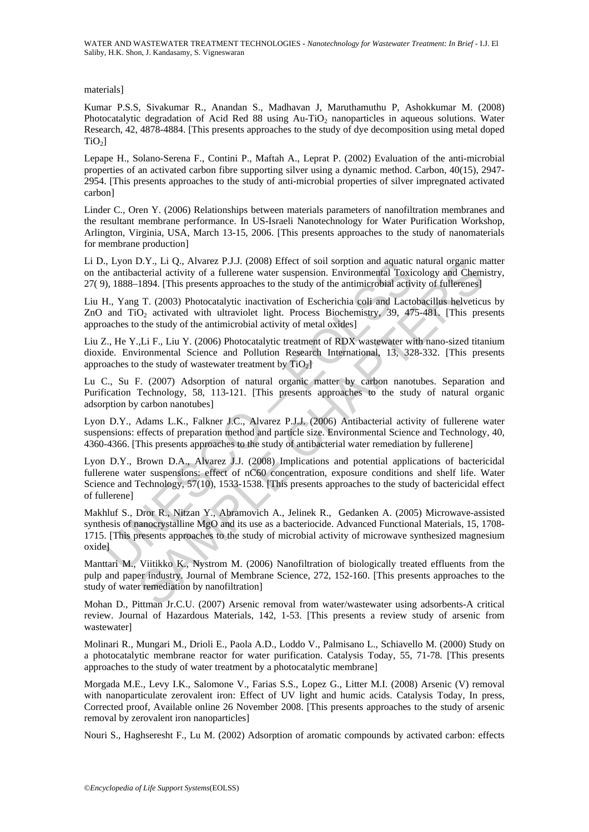WATER AND WASTEWATER TREATMENT TECHNOLOGIES **-** *Nanotechnology for Wastewater Treatment: In Brief* - I.J. El Saliby, H.K. Shon, J. Kandasamy, S. Vigneswaran

materials]

Kumar P.S.S, Sivakumar R., Anandan S., Madhavan J, Maruthamuthu P, Ashokkumar M. (2008) Photocatalytic degradation of Acid Red 88 using  $Au$ -TiO<sub>2</sub> nanoparticles in aqueous solutions. Water Research, 42, 4878-4884. [This presents approaches to the study of dye decomposition using metal doped  $TiO<sub>2</sub>$ ]

Lepape H., Solano-Serena F., Contini P., Maftah A., Leprat P. (2002) Evaluation of the anti-microbial properties of an activated carbon fibre supporting silver using a dynamic method. Carbon, 40(15), 2947- 2954. [This presents approaches to the study of anti-microbial properties of silver impregnated activated carbon]

Linder C., Oren Y. (2006) Relationships between materials parameters of nanofiltration membranes and the resultant membrane performance. In US-Israeli Nanotechnology for Water Purification Workshop, Arlington, Virginia, USA, March 13-15, 2006. [This presents approaches to the study of nanomaterials for membrane production]

Li D., Lyon D.Y., Li Q., Alvarez P.J.J. (2008) Effect of soil sorption and aquatic natural organic matter on the antibacterial activity of a fullerene water suspension. Environmental Toxicology and Chemistry, 27( 9), 1888–1894. [This presents approaches to the study of the antimicrobial activity of fullerenes]

Liu H., Yang T. (2003) Photocatalytic inactivation of Escherichia coli and Lactobacillus helveticus by ZnO and TiO<sub>2</sub> activated with ultraviolet light. Process Biochemistry, 39, 475-481. [This presents approaches to the study of the antimicrobial activity of metal oxides]

Liu Z., He Y.,Li F., Liu Y. (2006) Photocatalytic treatment of RDX wastewater with nano-sized titanium dioxide. Environmental Science and Pollution Research International, 13, 328-332. [This presents approaches to the study of wastewater treatment by  $TiO<sub>2</sub>$ ]

Lu C., Su F. (2007) Adsorption of natural organic matter by carbon nanotubes. Separation and Purification Technology, 58, 113-121. [This presents approaches to the study of natural organic adsorption by carbon nanotubes]

Lyon D.Y., Adams L.K., Falkner J.C., Alvarez P.J.J. (2006) Antibacterial activity of fullerene water suspensions: effects of preparation method and particle size. Environmental Science and Technology, 40, 4360-4366. [This presents approaches to the study of antibacterial water remediation by fullerene]

, Lyon D.Y., La Q., Alvarez P.J.J. (2008) Eiffed of soil sorption and aquatic<br>one antibacterial activity of a fullerene water suersion. Environmental Toxic<br>one, the, Yang T. (2003) Photocatalytic inactivation of Escherichi D.Y., Li Q., Alvarez P.J.J. (2008) Effect of soil sopption and aquatic natural organic reality<br>of a fullerene water suspension. Environmental Toxicology and Gemeetrical activity of a fullerene water suspension. Environment Lyon D.Y., Brown D.A., Alvarez J.J. (2008) Implications and potential applications of bactericidal fullerene water suspensions: effect of nC60 concentration, exposure conditions and shelf life. Water Science and Technology, 57(10), 1533-1538. [This presents approaches to the study of bactericidal effect of fullerene]

Makhluf S., Dror R., Nitzan Y., Abramovich A., Jelinek R., Gedanken A. (2005) Microwave-assisted synthesis of nanocrystalline MgO and its use as a bacteriocide. Advanced Functional Materials, 15, 1708-1715. [This presents approaches to the study of microbial activity of microwave synthesized magnesium oxide]

Manttari M., Viitikko K., Nystrom M. (2006) Nanofiltration of biologically treated effluents from the pulp and paper industry. Journal of Membrane Science, 272, 152-160. [This presents approaches to the study of water remediation by nanofiltration]

Mohan D., Pittman Jr.C.U. (2007) Arsenic removal from water/wastewater using adsorbents-A critical review. Journal of Hazardous Materials, 142, 1-53. [This presents a review study of arsenic from wastewater]

Molinari R., Mungari M., Drioli E., Paola A.D., Loddo V., Palmisano L., Schiavello M. (2000) Study on a photocatalytic membrane reactor for water purification. Catalysis Today, 55, 71-78. [This presents approaches to the study of water treatment by a photocatalytic membrane]

Morgada M.E., Levy I.K., Salomone V., Farias S.S., Lopez G., Litter M.I. (2008) Arsenic (V) removal with nanoparticulate zerovalent iron: Effect of UV light and humic acids. Catalysis Today, In press, Corrected proof, Available online 26 November 2008. [This presents approaches to the study of arsenic removal by zerovalent iron nanoparticles]

Nouri S., Haghseresht F., Lu M. (2002) Adsorption of aromatic compounds by activated carbon: effects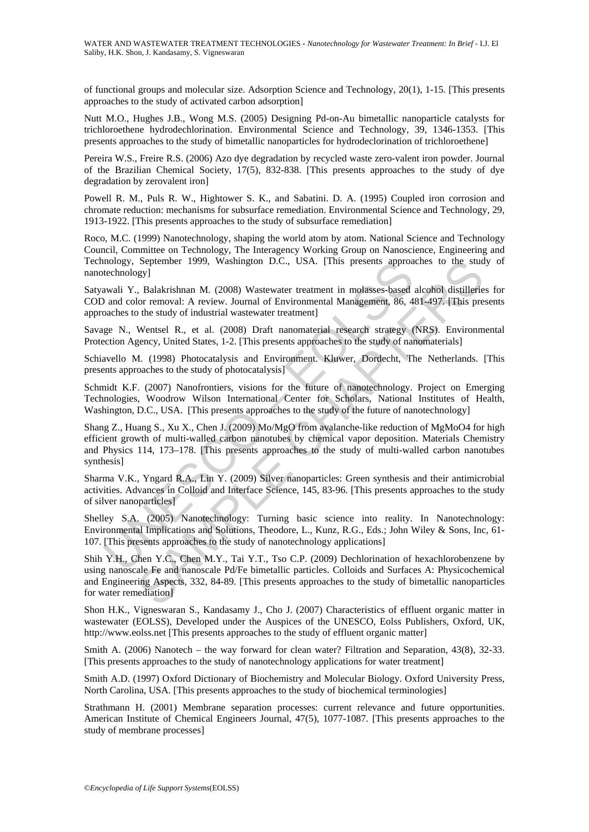of functional groups and molecular size. Adsorption Science and Technology, 20(1), 1-15. [This presents approaches to the study of activated carbon adsorption]

Nutt M.O., Hughes J.B., Wong M.S. (2005) Designing Pd-on-Au bimetallic nanoparticle catalysts for trichloroethene hydrodechlorination. Environmental Science and Technology, 39, 1346-1353. [This presents approaches to the study of bimetallic nanoparticles for hydrodeclorination of trichloroethene]

Pereira W.S., Freire R.S. (2006) Azo dye degradation by recycled waste zero-valent iron powder. Journal of the Brazilian Chemical Society, 17(5), 832-838. [This presents approaches to the study of dye degradation by zerovalent iron]

Powell R. M., Puls R. W., Hightower S. K., and Sabatini. D. A. (1995) Coupled iron corrosion and chromate reduction: mechanisms for subsurface remediation. Environmental Science and Technology, 29, 1913-1922. [This presents approaches to the study of subsurface remediation]

Roco, M.C. (1999) Nanotechnology, shaping the world atom by atom. National Science and Technology Council, Committee on Technology, The Interagency Working Group on Nanoscience, Engineering and Technology, September 1999, Washington D.C., USA. [This presents approaches to the study of nanotechnology]

Satyawali Y., Balakrishnan M. (2008) Wastewater treatment in molasses-based alcohol distilleries for COD and color removal: A review. Journal of Environmental Management, 86, 481-497. [This presents approaches to the study of industrial wastewater treatment]

Savage N., Wentsel R., et al. (2008) Draft nanomaterial research strategy (NRS). Environmental Protection Agency, United States, 1-2. [This presents approaches to the study of nanomaterials]

Schiavello M. (1998) Photocatalysis and Environment. Kluwer, Dordecht, The Netherlands. [This presents approaches to the study of photocatalysis]

Schmidt K.F. (2007) Nanofrontiers, visions for the future of nanotechnology. Project on Emerging Technologies, Woodrow Wilson International Center for Scholars, National Institutes of Health, Washington, D.C., USA. [This presents approaches to the study of the future of nanotechnology]

mology, September 1999, Washington D.C., USA. [This presents approacheology]<br>
actechnology] T. Blakrishnan M. (2008) Wastewater treatment in molasses-based<br>
awali Y., Balakrishnan M. (2008) Wastewater treatment in molasses September 1999, Washington D.C., USA. [This presents approaches to the studey]<br>
Seylomber 1999, Washington D.C., USA. [This presents approaches to the student<br>
J. Balakrishnan M. (2008) Wastewater treatment]<br>
Moreals of in Shang Z., Huang S., Xu X., Chen J. (2009) Mo/MgO from avalanche-like reduction of MgMoO4 for high efficient growth of multi-walled carbon nanotubes by chemical vapor deposition. Materials Chemistry and Physics 114, 173–178. [This presents approaches to the study of multi-walled carbon nanotubes synthesis]

Sharma V.K., Yngard R.A., Lin Y. (2009) Silver nanoparticles: Green synthesis and their antimicrobial activities. Advances in Colloid and Interface Science, 145, 83-96. [This presents approaches to the study of silver nanoparticles]

Shelley S.A. (2005) Nanotechnology: Turning basic science into reality. In Nanotechnology: Environmental Implications and Solutions, Theodore, L., Kunz, R.G., Eds.; John Wiley & Sons, Inc, 61- 107. [This presents approaches to the study of nanotechnology applications]

Shih Y.H., Chen Y.C., Chen M.Y., Tai Y.T., Tso C.P. (2009) Dechlorination of hexachlorobenzene by using nanoscale Fe and nanoscale Pd/Fe bimetallic particles. Colloids and Surfaces A: Physicochemical and Engineering Aspects, 332, 84-89. [This presents approaches to the study of bimetallic nanoparticles for water remediation]

Shon H.K., Vigneswaran S., Kandasamy J., Cho J. (2007) Characteristics of effluent organic matter in wastewater (EOLSS), Developed under the Auspices of the UNESCO, Eolss Publishers, Oxford, UK, http://www.eolss.net [This presents approaches to the study of effluent organic matter]

Smith A. (2006) Nanotech – the way forward for clean water? Filtration and Separation, 43(8), 32-33. [This presents approaches to the study of nanotechnology applications for water treatment]

Smith A.D. (1997) Oxford Dictionary of Biochemistry and Molecular Biology. Oxford University Press, North Carolina, USA. [This presents approaches to the study of biochemical terminologies]

Strathmann H. (2001) Membrane separation processes: current relevance and future opportunities. American Institute of Chemical Engineers Journal, 47(5), 1077-1087. [This presents approaches to the study of membrane processes]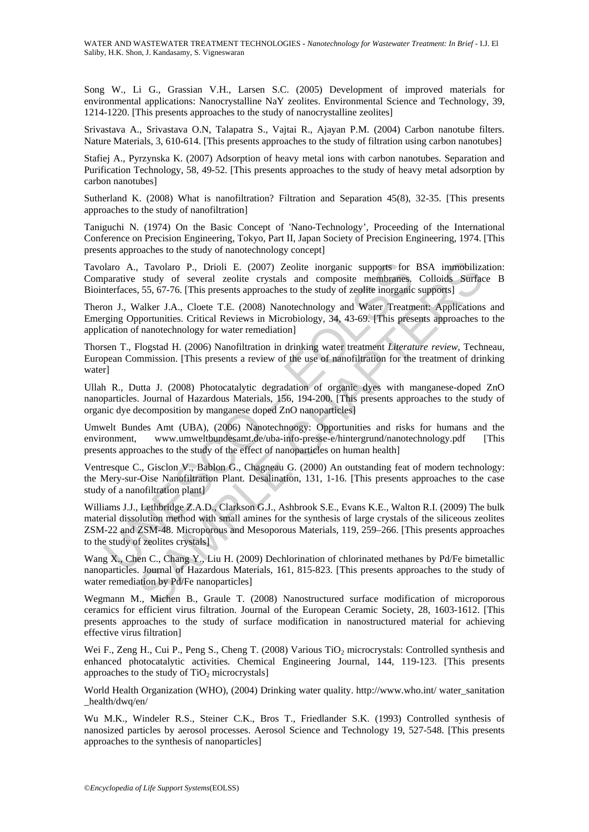Song W., Li G., Grassian V.H., Larsen S.C. (2005) Development of improved materials for environmental applications: Nanocrystalline NaY zeolites. Environmental Science and Technology, 39, 1214-1220. [This presents approaches to the study of nanocrystalline zeolites]

Srivastava A., Srivastava O.N, Talapatra S., Vajtai R., Ajayan P.M. (2004) Carbon nanotube filters. Nature Materials, 3, 610-614. [This presents approaches to the study of filtration using carbon nanotubes]

Stafiej A., Pyrzynska K. (2007) Adsorption of heavy metal ions with carbon nanotubes. Separation and Purification Technology, 58, 49-52. [This presents approaches to the study of heavy metal adsorption by carbon nanotubes]

Sutherland K. (2008) What is nanofiltration? Filtration and Separation 45(8), 32-35. [This presents approaches to the study of nanofiltration]

Taniguchi N. (1974) On the Basic Concept of 'Nano-Technology', Proceeding of the International Conference on Precision Engineering, Tokyo, Part II, Japan Society of Precision Engineering, 1974. [This presents approaches to the study of nanotechnology concept]

Tavolaro A., Tavolaro P., Drioli E. (2007) Zeolite inorganic supports for BSA immobilization: Comparative study of several zeolite crystals and composite membranes. Colloids Surface B Biointerfaces, 55, 67-76. [This presents approaches to the study of zeolite inorganic supports]

Theron J., Walker J.A., Cloete T.E. (2008) Nanotechnology and Water Treatment: Applications and Emerging Opportunities. Critical Reviews in Microbiology, 34, 43-69. [This presents approaches to the application of nanotechnology for water remediation]

Thorsen T., Flogstad H. (2006) Nanofiltration in drinking water treatment *Literature review*, Techneau, European Commission. [This presents a review of the use of nanofiltration for the treatment of drinking water]

Ullah R., Dutta J. (2008) Photocatalytic degradation of organic dyes with manganese-doped ZnO nanoparticles. Journal of Hazardous Materials, 156, 194-200. [This presents approaches to the study of organic dye decomposition by manganese doped ZnO nanoparticles]

Umwelt Bundes Amt (UBA), (2006) Nanotechnoogy: Opportunities and risks for humans and the environment, www.umweltbundesamt.de/uba-info-presse-e/hintergrund/nanotechnology.pdf [This presents approaches to the study of the effect of nanoparticles on human health]

Ventresque C., Gisclon V., Bablon G., Chagneau G. (2000) An outstanding feat of modern technology: the Mery-sur-Oise Nanofiltration Plant. Desalination, 131, 1-16. [This presents approaches to the case study of a nanofiltration plant]

blaro A., Tavolaro P., Drioli E. (2007) Zeolite inorganic supports for<br>parative study of several zcolite crystals and composite membranes,<br>tentracees, 55, 67-76. [This presents approachs to the study of zeolite inorganic<br>o , Tavolaro P., Drioli E. (2007) Zeolite inorganic supports for BSA immobilizs<br>study of several zcolite crystals and composite membranes. Colloids Surface, 55, 67-76. [This presents approaches to the study of zcolite inorg Williams J.J., Lethbridge Z.A.D., Clarkson G.J., Ashbrook S.E., Evans K.E., Walton R.I. (2009) The bulk material dissolution method with small amines for the synthesis of large crystals of the siliceous zeolites ZSM-22 and ZSM-48. Microporous and Mesoporous Materials, 119, 259–266. [This presents approaches to the study of zeolites crystals]

Wang X., Chen C., Chang Y., Liu H. (2009) Dechlorination of chlorinated methanes by Pd/Fe bimetallic nanoparticles. Journal of Hazardous Materials, 161, 815-823. [This presents approaches to the study of water remediation by Pd/Fe nanoparticles]

Wegmann M., Michen B., Graule T. (2008) Nanostructured surface modification of microporous ceramics for efficient virus filtration. Journal of the European Ceramic Society, 28, 1603-1612. [This presents approaches to the study of surface modification in nanostructured material for achieving effective virus filtration]

Wei F., Zeng H., Cui P., Peng S., Cheng T. (2008) Various TiO<sub>2</sub> microcrystals: Controlled synthesis and enhanced photocatalytic activities. Chemical Engineering Journal, 144, 119-123. [This presents approaches to the study of  $TiO<sub>2</sub>$  microcrystals]

World Health Organization (WHO), (2004) Drinking water quality. http://www.who.int/ water\_sanitation \_health/dwq/en/

Wu M.K., Windeler R.S., Steiner C.K., Bros T., Friedlander S.K. (1993) Controlled synthesis of nanosized particles by aerosol processes. Aerosol Science and Technology 19, 527-548. [This presents approaches to the synthesis of nanoparticles]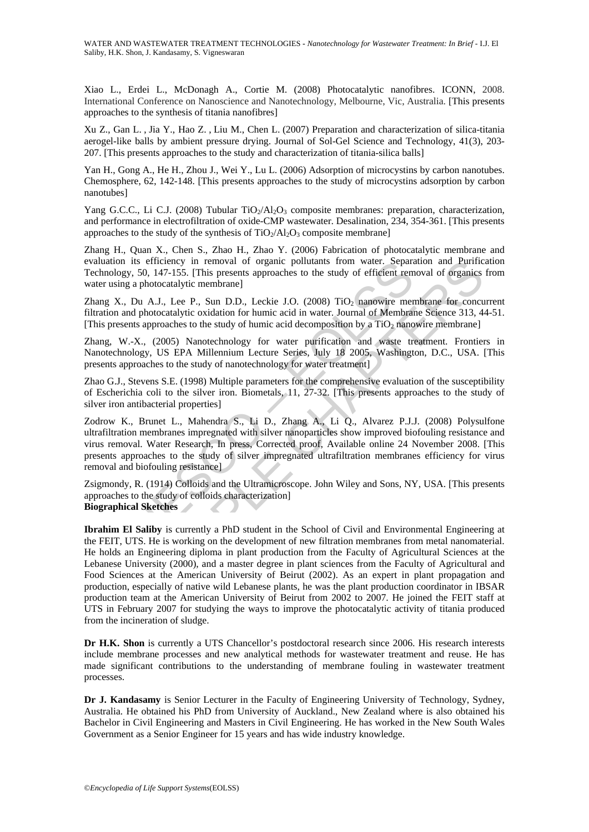Xiao L., Erdei L., McDonagh A., Cortie M. (2008) Photocatalytic nanofibres. ICONN, 2008. International Conference on Nanoscience and Nanotechnology, Melbourne, Vic, Australia. [This presents approaches to the synthesis of titania nanofibres]

Xu Z., Gan L. , Jia Y., Hao Z. , Liu M., Chen L. (2007) Preparation and characterization of silica-titania aerogel-like balls by ambient pressure drying. Journal of Sol-Gel Science and Technology, 41(3), 203- 207. [This presents approaches to the study and characterization of titania-silica balls]

Yan H., Gong A., He H., Zhou J., Wei Y., Lu L. (2006) Adsorption of microcystins by carbon nanotubes. Chemosphere, 62, 142-148. [This presents approaches to the study of microcystins adsorption by carbon nanotubes]

Yang G.C.C., Li C.J. (2008) Tubular TiO<sub>2</sub>/Al<sub>2</sub>O<sub>3</sub> composite membranes: preparation, characterization, and performance in electrofiltration of oxide-CMP wastewater. Desalination, 234, 354-361. [This presents approaches to the study of the synthesis of  $TiO<sub>2</sub>/Al<sub>2</sub>O<sub>3</sub>$  composite membrane]

Zhang H., Quan X., Chen S., Zhao H., Zhao Y. (2006) Fabrication of photocatalytic membrane and evaluation its efficiency in removal of organic pollutants from water. Separation and Purification Technology, 50, 147-155. [This presents approaches to the study of efficient removal of organics from water using a photocatalytic membrane]

Zhang X., Du A.J., Lee P., Sun D.D., Leckie J.O. (2008)  $TiO<sub>2</sub>$  nanowire membrane for concurrent filtration and photocatalytic oxidation for humic acid in water. Journal of Membrane Science 313, 44-51. [This presents approaches to the study of humic acid decomposition by a  $TiO<sub>2</sub>$  nanowire membrane]

Zhang, W.-X., (2005) Nanotechnology for water purification and waste treatment. Frontiers in Nanotechnology, US EPA Millennium Lecture Series, July 18 2005, Washington, D.C., USA. [This presents approaches to the study of nanotechnology for water treatment]

Zhao G.J., Stevens S.E. (1998) Multiple parameters for the comprehensive evaluation of the susceptibility of Escherichia coli to the silver iron. Biometals, 11, 27-32. [This presents approaches to the study of silver iron antibacterial properties]

inton its elticency in removal of organic pollutants from water. Separation its elticency in removal of organic pollutants from water. Separation is a photocatalytic membrane] g X, Du A.J., Lee P., Sun D.D., Leckie J.O. (2 Zodrow K., Brunet L., Mahendra S., Li D., Zhang A., Li Q., Alvarez P.J.J. (2008) Polysulfone ultrafiltration membranes impregnated with silver nanoparticles show improved biofouling resistance and virus removal. Water Research, In press, Corrected proof, Available online 24 November 2008. [This presents approaches to the study of silver impregnated ultrafiltration membranes efficiency for virus removal and biofouling resistance]

Zsigmondy, R. (1914) Colloids and the Ultramicroscope. John Wiley and Sons, NY, USA. [This presents approaches to the study of colloids characterization] **Biographical Sketches** 

s efficiency in removal of organic pollutants from water. Separation and Purific<br>sof, 147-155. [This presents approaches to the study of efficient removal of organics<br>photocatalytic membrane]<br>w A.J., Lee P., Sun D.D., Leck **Ibrahim El Saliby** is currently a PhD student in the School of Civil and Environmental Engineering at the FEIT, UTS. He is working on the development of new filtration membranes from metal nanomaterial. He holds an Engineering diploma in plant production from the Faculty of Agricultural Sciences at the Lebanese University (2000), and a master degree in plant sciences from the Faculty of Agricultural and Food Sciences at the American University of Beirut (2002). As an expert in plant propagation and production, especially of native wild Lebanese plants, he was the plant production coordinator in IBSAR production team at the American University of Beirut from 2002 to 2007. He joined the FEIT staff at UTS in February 2007 for studying the ways to improve the photocatalytic activity of titania produced from the incineration of sludge.

**Dr H.K. Shon** is currently a UTS Chancellor's postdoctoral research since 2006. His research interests include membrane processes and new analytical methods for wastewater treatment and reuse. He has made significant contributions to the understanding of membrane fouling in wastewater treatment processes.

**Dr J. Kandasamy** is Senior Lecturer in the Faculty of Engineering University of Technology, Sydney, Australia. He obtained his PhD from University of Auckland., New Zealand where is also obtained his Bachelor in Civil Engineering and Masters in Civil Engineering. He has worked in the New South Wales Government as a Senior Engineer for 15 years and has wide industry knowledge.